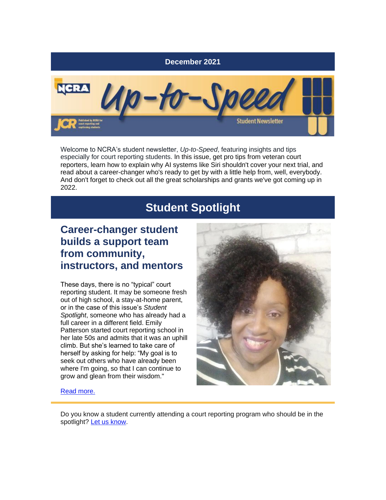

Welcome to NCRA's student newsletter, *Up-to-Speed*, featuring insights and tips especially for court reporting students. In this issue, get pro tips from veteran court reporters, learn how to explain why AI systems like Siri shouldn't cover your next trial, and read about a career-changer who's ready to get by with a little help from, well, everybody. And don't forget to check out all the great scholarships and grants we've got coming up in 2022.

# **Student Spotlight**

### **Career-changer student builds a support team from community, instructors, and mentors**

These days, there is no "typical" court reporting student. It may be someone fresh out of high school, a stay-at-home parent, or in the case of this issue's *Student Spotlight*, someone who has already had a full career in a different field. Emily Patterson started court reporting school in her late 50s and admits that it was an uphill climb. But she's learned to take care of herself by asking for help: "My goal is to seek out others who have already been where I'm going, so that I can continue to grow and glean from their wisdom."



[Read more.](https://r20.rs6.net/tn.jsp?f=001uulnjAt47FhpC2px9fVFN4gYp8uy5D08YCNnj_VUnGT4wJO0-QURkblHeP5yOZQAyh8TgQqX7zHhJdeS7hiObO0QCssGLqKtssKb9BmQVdgWg4WlJ9btSjSkB-xlnrzenhSOam5rlWGuYW1R113svVrk4a485E94pzHqhpbsRwwqhVYAfMXUOHq9iptuSpDYoEinY6HlrOT7TczNAfNf5KdVv_3TEjSHuVaAjHFPj8YuvdrwqBioESHHQ4bUesYO8cFOVjhPIP_2Hgi2QZHm_KdJCz555GaqSbGSFPCojkTmHHSvxzcKow==&c=ZCbyinN6nOf46WhspePWSmc9W6zaKybrfJfHKj1UytpsNpCMcde4VQ==&ch=K4WFxABq-74XQ7sI52JITKwKdoj9Zeh_zOhJO0yt0ykWG-WbRjvRIA==)

Do you know a student currently attending a court reporting program who should be in the spotlight? [Let us know.](mailto:jcrfeedback@ncra.org)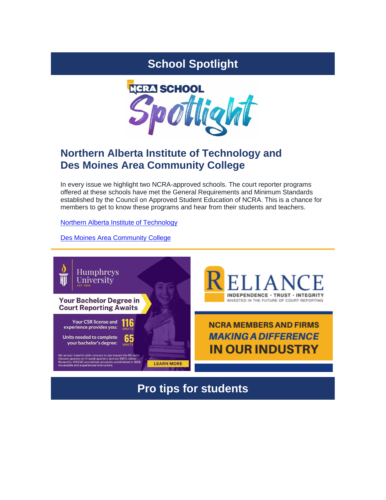# **School Spotlight**



## **Northern Alberta Institute of Technology and Des Moines Area Community College**

In every issue we highlight two NCRA-approved schools. The court reporter programs offered at these schools have met the General Requirements and Minimum Standards established by the Council on Approved Student Education of NCRA. This is a chance for members to get to know these programs and hear from their students and teachers.

[Northern Alberta Institute of Technology](https://r20.rs6.net/tn.jsp?f=001uulnjAt47FhpC2px9fVFN4gYp8uy5D08YCNnj_VUnGT4wJO0-QURkRspV4UJPiIIRYmHTsTjwkw3uCffLcBZcEhK9jMIHr_IEEVCsZ_fKHO0anqL5ppPoOEZBMyTGAOPGGvm3ML0r80FZAxtA9B-NOMX_xm6CibtaVDpWgyGvCODAYPCu5VGr2OUnI4fDpdcQALmwh3NazIw6Y7l_XxvFnXFjLxf9qJBuDIhe58LGcfkChXxEDefRg==&c=ZCbyinN6nOf46WhspePWSmc9W6zaKybrfJfHKj1UytpsNpCMcde4VQ==&ch=K4WFxABq-74XQ7sI52JITKwKdoj9Zeh_zOhJO0yt0ykWG-WbRjvRIA==)

[Des Moines Area Community College](https://r20.rs6.net/tn.jsp?f=001uulnjAt47FhpC2px9fVFN4gYp8uy5D08YCNnj_VUnGT4wJO0-QURkYd78C0j8Zq6WbzDenHkhYuMagYaPsmFdB38N9OM0weF4hycTpOtCOGsNt_qnH2IlaO08YebNEt5Nkm1mGlf8C5Ls03r2GGT421a067P_0awQ8-0ZLhIWcyq4SW8M-JW7b30tE4Czk3TByM5Mqz_hoZP7sr2gEuTEp_OKqhXSyLwQpVtiz-dtTg=&c=ZCbyinN6nOf46WhspePWSmc9W6zaKybrfJfHKj1UytpsNpCMcde4VQ==&ch=K4WFxABq-74XQ7sI52JITKwKdoj9Zeh_zOhJO0yt0ykWG-WbRjvRIA==)

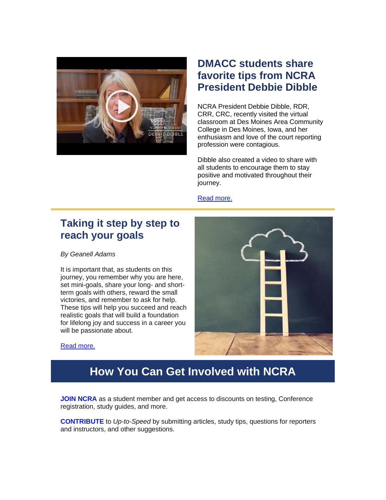

## **DMACC students share favorite tips from NCRA President Debbie Dibble**

NCRA President Debbie Dibble, RDR, CRR, CRC, recently visited the virtual classroom at Des Moines Area Community College in Des Moines, Iowa, and her enthusiasm and love of the court reporting profession were contagious.

Dibble also created a video to share with all students to encourage them to stay positive and motivated throughout their journey.

#### [Read more.](https://r20.rs6.net/tn.jsp?f=001uulnjAt47FhpC2px9fVFN4gYp8uy5D08YCNnj_VUnGT4wJO0-QURkblHeP5yOZQAoHXhyp4MJPDBkO5H74ZSwYdOuSubtIOHHwS0Mhl2Y0PMWzb_AZ5rqcMWqUhBHiqD9RAtuuiYnjgN_6qbJihe2LdguNMz5FKTykvjZY0FxRL7GSCv9UpMzH-J8fonUEiengzFqi1zU64KlrwUkGLvC6rsbZiTaIDgdw5Y2VZxoZRjPXkuACIMs5IrNYIaQA7YmvC-TiWyxp8=&c=ZCbyinN6nOf46WhspePWSmc9W6zaKybrfJfHKj1UytpsNpCMcde4VQ==&ch=K4WFxABq-74XQ7sI52JITKwKdoj9Zeh_zOhJO0yt0ykWG-WbRjvRIA==)

#### **Taking it step by step to reach your goals**

*By Geanell Adams*

It is important that, as students on this journey, you remember why you are here, set mini-goals, share your long- and shortterm goals with others, reward the small victories, and remember to ask for help. These tips will help you succeed and reach realistic goals that will build a foundation for lifelong joy and success in a career you will be passionate about.



[Read more.](https://r20.rs6.net/tn.jsp?f=001uulnjAt47FhpC2px9fVFN4gYp8uy5D08YCNnj_VUnGT4wJO0-QURkblHeP5yOZQAmhkqAtA4ZJQ7d6AYZlBn_z2AREM--C4KEkfIpchw7fTkzX5qtFX6FoxMTW8CEFTdvRtss84b3zTjHRewThzvzDqWI5AtCcEdc8Lxn83huD9y5XMo4fcLWesc3_O5a2tM0gCmgtCYHhceiGU6jEMmAchjlKHWnSD6&c=ZCbyinN6nOf46WhspePWSmc9W6zaKybrfJfHKj1UytpsNpCMcde4VQ==&ch=K4WFxABq-74XQ7sI52JITKwKdoj9Zeh_zOhJO0yt0ykWG-WbRjvRIA==)

## **How You Can Get Involved with NCRA**

**JOIN NCRA** as a student member and get access to discounts on testing, Conference registration, study guides, and more.

**[CONTRIBUTE](mailto:jcrfeedback@ncra.org)** to *Up-to-Speed* by submitting articles, study tips, questions for reporters and instructors, and other suggestions.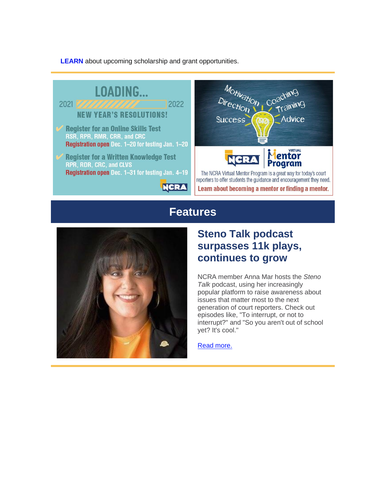**[LEARN](https://r20.rs6.net/tn.jsp?f=001uulnjAt47FhpC2px9fVFN4gYp8uy5D08YCNnj_VUnGT4wJO0-QURkaIiQuhCmK_17YxEdmdB3MoFGEI1Bi6Mf2TQ2Ve3Xx-2lDna0P8yzH3kn0caLttnIPAej7QkhrAb2l1yGqwCPwtsN1MeC1Ts4AoXKdQstoqcOz9VlaJai306VjJfrkVYiOhIKTGyYfDzEu9jzP8JqmvlreeAANTqMxhHT3QigS17rGbBTft43Lu56itXc2yGCVcfFNCUSdwO&c=ZCbyinN6nOf46WhspePWSmc9W6zaKybrfJfHKj1UytpsNpCMcde4VQ==&ch=K4WFxABq-74XQ7sI52JITKwKdoj9Zeh_zOhJO0yt0ykWG-WbRjvRIA==)** about upcoming scholarship and grant opportunities.



#### **Features**



## **Steno Talk podcast surpasses 11k plays, continues to grow**

NCRA member Anna Mar hosts the *Steno Talk* podcast, using her increasingly popular platform to raise awareness about issues that matter most to the next generation of court reporters. Check out episodes like, "To interrupt, or not to interrupt?" and "So you aren't out of school yet? It's cool."

[Read more.](https://r20.rs6.net/tn.jsp?f=001uulnjAt47FhpC2px9fVFN4gYp8uy5D08YCNnj_VUnGT4wJO0-QURkbBpeTWX7_orRh1zk0x5th12639IBd2df_yztx88pffgZuPSq8vYAtcz4iUwHc-5hCYF6jn_ZHokzKLOtIWpz-TbwratjRP3r135A7BUQx5E3sYlJyQQSdCMiAeqNv3Os6I2_dlH1BscOUXwsJXU_rqIwC24-Q0L5Ug6NFv4RMX-DQByn_exOqPE4QxxN-mxDQ==&c=ZCbyinN6nOf46WhspePWSmc9W6zaKybrfJfHKj1UytpsNpCMcde4VQ==&ch=K4WFxABq-74XQ7sI52JITKwKdoj9Zeh_zOhJO0yt0ykWG-WbRjvRIA==)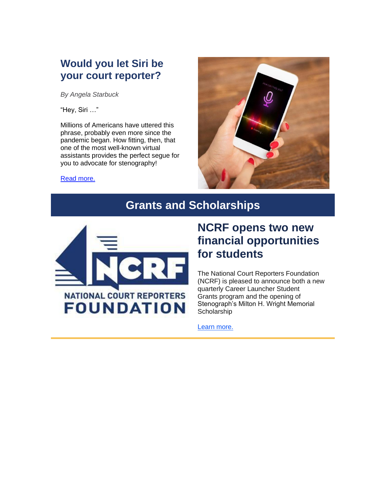### **Would you let Siri be your court reporter?**

*By Angela Starbuck*

"Hey, Siri …"

Millions of Americans have uttered this phrase, probably even more since the pandemic began. How fitting, then, that one of the most well-known virtual assistants provides the perfect segue for you to advocate for stenography!



[Read more.](https://r20.rs6.net/tn.jsp?f=001uulnjAt47FhpC2px9fVFN4gYp8uy5D08YCNnj_VUnGT4wJO0-QURkVLf4c_vzQECvnuRAju11BZHPhxNzu46nt7pHhOeFHrviZ_S_vULCYJhF8DlNF95dL3Bf7sYKFODtM6VJMuc5fXAIu8fB2K48bTj1BsdWcpdAIaCp7JsVU62Ud5DkrYhnxl3u-daHuIGdFN6T3q3SM4wDGPA0NXHgK-ATfrY2rQXq2yKOJ9c9R9uG8Twm7Js8A==&c=ZCbyinN6nOf46WhspePWSmc9W6zaKybrfJfHKj1UytpsNpCMcde4VQ==&ch=K4WFxABq-74XQ7sI52JITKwKdoj9Zeh_zOhJO0yt0ykWG-WbRjvRIA==)

# **Grants and Scholarships**



# **NCRF opens two new financial opportunities for students**

The National Court Reporters Foundation (NCRF) is pleased to announce both a new quarterly Career Launcher Student [Grants](https://r20.rs6.net/tn.jsp?f=001uulnjAt47FhpC2px9fVFN4gYp8uy5D08YCNnj_VUnGT4wJO0-QURkblHeP5yOZQAA5_JzbPbqp2Sa4tQy4hB749OWhOPMgxbz1QXebBq7_pBOfFyBEZPEv5r0e1Z5i6oX_UQt9am7xqfyBbKAy624arag-BFLhPQCqBlE3zZ-Vvlyxi1z3NDGmiTrJU3kLSDJWno7fP7shVpSBeSu2WQeO673NESO83kFB_wCgkyiOMBLFV7QI-soYq_bnDofVHUpymrdBK-bYBBNtABm9hYWtWeVbXLyPlw14MBxOdnom4=&c=ZCbyinN6nOf46WhspePWSmc9W6zaKybrfJfHKj1UytpsNpCMcde4VQ==&ch=K4WFxABq-74XQ7sI52JITKwKdoj9Zeh_zOhJO0yt0ykWG-WbRjvRIA==) program and the opening of Stenograph's Milton H. Wright Memorial **Scholarship** 

[Learn more.](https://r20.rs6.net/tn.jsp?f=001uulnjAt47FhpC2px9fVFN4gYp8uy5D08YCNnj_VUnGT4wJO0-QURkblHeP5yOZQA4tRrHg6BKU2y43p0zNb17HVksuevSMoF-nofd5lSMP1uoh8gXkdSt1ApMwrd6Yrgspocq95C3hiInv52E6lVRnjPQzBoQ7PU3BlNiYsEYZFhqdQAhoS6PeJJRUacT_b5om1IcUdxOgkZQFcCDu3mr3S2t0nbpOlb9lrShRXUYRWjrHt2ethFBw==&c=ZCbyinN6nOf46WhspePWSmc9W6zaKybrfJfHKj1UytpsNpCMcde4VQ==&ch=K4WFxABq-74XQ7sI52JITKwKdoj9Zeh_zOhJO0yt0ykWG-WbRjvRIA==)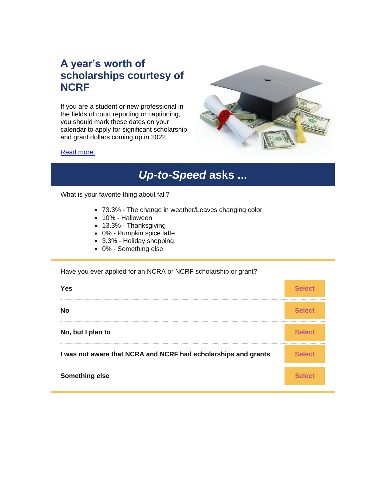## **A year's worth of scholarships courtesy of NCRF**

If you are a student or new professional in the fields of court reporting or captioning, you should mark these dates on your calendar to apply for significant scholarship and grant dollars coming up in 2022.



#### [Read more.](https://r20.rs6.net/tn.jsp?f=001uulnjAt47FhpC2px9fVFN4gYp8uy5D08YCNnj_VUnGT4wJO0-QURkbBpeTWX7_orbdYSDRaxs12s7knkS-mkc97VzBGOxXgsdaCJwd9NnPtBI7yoL_z6gtlXz7MP8MI0D3y4-CPRK7GbOnczSNpSk8996UasUvknnwhBlWrMWP3OO-MrfwmASXgWqCdP7mjgHNkIzZnQNSEJPPNo7i4LzOiGz9lR76jYLNMS2focM0c=&c=ZCbyinN6nOf46WhspePWSmc9W6zaKybrfJfHKj1UytpsNpCMcde4VQ==&ch=K4WFxABq-74XQ7sI52JITKwKdoj9Zeh_zOhJO0yt0ykWG-WbRjvRIA==)

# *Up-to-Speed* **asks ...**

What is your favorite thing about fall?

- 73.3% The change in weather/Leaves changing color
- 10% Halloween
- 13.3% Thanksgiving
- 0% Pumpkin spice latte
- 3.3% Holiday shopping
- 0% Something else

#### Have you ever applied for an NCRA or NCRF scholarship or grant?

| ⁄ ρς                                                           |  |
|----------------------------------------------------------------|--|
|                                                                |  |
| No, but I plan to                                              |  |
| I was not aware that NCRA and NCRF had scholarships and grants |  |
| Something else                                                 |  |